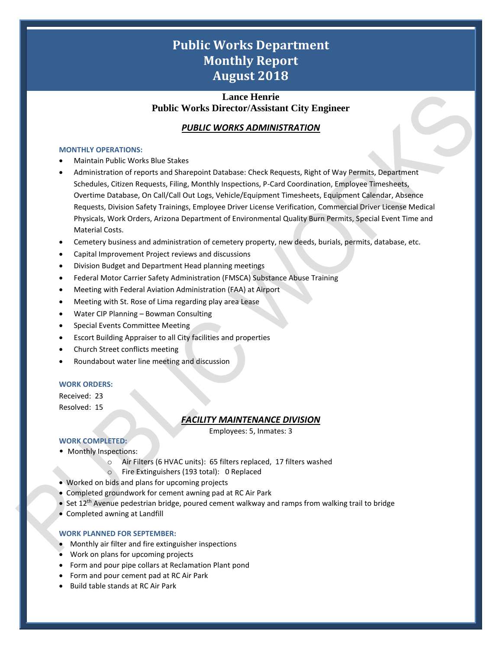# **Public Works Department Monthly Report August 2018**

# **Lance Henrie Public Works Director/Assistant City Engineer**

# *PUBLIC WORKS ADMINISTRATION*

#### **MONTHLY OPERATIONS:**

- Maintain Public Works Blue Stakes
- Administration of reports and Sharepoint Database: Check Requests, Right of Way Permits, Department Schedules, Citizen Requests, Filing, Monthly Inspections, P-Card Coordination, Employee Timesheets, Overtime Database, On Call/Call Out Logs, Vehicle/Equipment Timesheets, Equipment Calendar, Absence Requests, Division Safety Trainings, Employee Driver License Verification, Commercial Driver License Medical Physicals, Work Orders, Arizona Department of Environmental Quality Burn Permits, Special Event Time and Material Costs.
- Cemetery business and administration of cemetery property, new deeds, burials, permits, database, etc.
- Capital Improvement Project reviews and discussions
- Division Budget and Department Head planning meetings
- Federal Motor Carrier Safety Administration (FMSCA) Substance Abuse Training
- Meeting with Federal Aviation Administration (FAA) at Airport
- Meeting with St. Rose of Lima regarding play area Lease
- Water CIP Planning Bowman Consulting
- Special Events Committee Meeting
- Escort Building Appraiser to all City facilities and properties
- Church Street conflicts meeting
- Roundabout water line meeting and discussion

#### **WORK ORDERS:**

Received: 23 Resolved: 15

### *FACILITY MAINTENANCE DIVISION*

Employees: 5, Inmates: 3

1

### **WORK COMPLETED:**

- Monthly Inspections:
	- o Air Filters (6 HVAC units): 65 filters replaced, 17 filters washed
	- o Fire Extinguishers (193 total): 0 Replaced
- Worked on bids and plans for upcoming projects
- Completed groundwork for cement awning pad at RC Air Park
- Set 12<sup>th</sup> Avenue pedestrian bridge, poured cement walkway and ramps from walking trail to bridge
- Completed awning at Landfill

#### **WORK PLANNED FOR SEPTEMBER:**

- Monthly air filter and fire extinguisher inspections
- Work on plans for upcoming projects
- Form and pour pipe collars at Reclamation Plant pond
- Form and pour cement pad at RC Air Park
- Build table stands at RC Air Park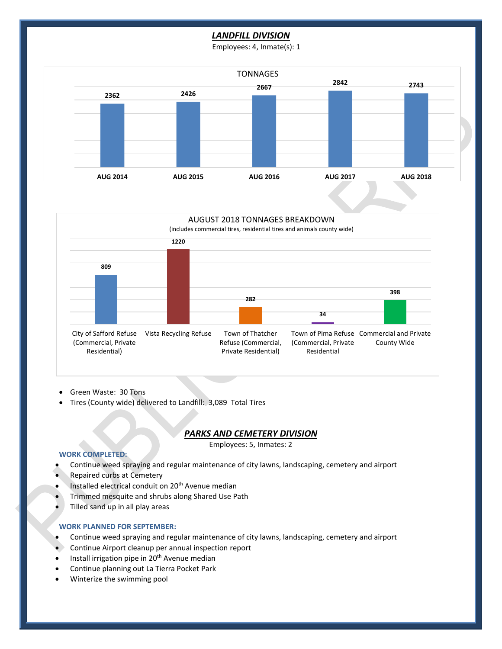## *LANDFILL DIVISION*

Employees: 4, Inmate(s): 1





- Green Waste: 30 Tons
- Tires (County wide) delivered to Landfill: 3,089 Total Tires

#### *PARKS AND CEMETERY DIVISION*

Employees: 5, Inmates: 2

2

#### **WORK COMPLETED:**

- Continue weed spraying and regular maintenance of city lawns, landscaping, cemetery and airport
- Repaired curbs at Cemetery
- Installed electrical conduit on 20<sup>th</sup> Avenue median
- Trimmed mesquite and shrubs along Shared Use Path
- Tilled sand up in all play areas

#### **WORK PLANNED FOR SEPTEMBER:**

- Continue weed spraying and regular maintenance of city lawns, landscaping, cemetery and airport
- Continue Airport cleanup per annual inspection report
- Install irrigation pipe in 20<sup>th</sup> Avenue median
- Continue planning out La Tierra Pocket Park
- Winterize the swimming pool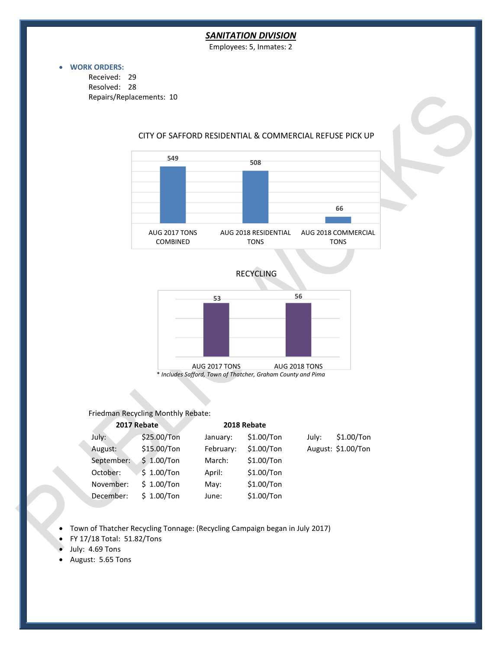### *SANITATION DIVISION*

Employees: 5, Inmates: 2

#### • **WORK ORDERS:**

Received: 29 Resolved: 28 Repairs/Replacements: 10



# CITY OF SAFFORD RESIDENTIAL & COMMERCIAL REFUSE PICK UP





\* *Includes Safford, Town of Thatcher, Graham County and Pima*

#### Friedman Recycling Monthly Rebate:

| 2017 Rebate |             | 2018 Rebate |              |       |                    |
|-------------|-------------|-------------|--------------|-------|--------------------|
| July:       | \$25.00/Ton | January:    | $$1.00/T$ on | Julv: | $$1.00/T$ on       |
| August:     | \$15.00/Ton | February:   | $$1.00/T$ on |       | August: \$1.00/Ton |
| September:  | \$1.00/Ton  | March:      | $$1.00/T$ on |       |                    |
| October:    | \$1.00/Ton  | April:      | $$1.00/T$ on |       |                    |
| November:   | \$1.00/Ton  | May:        | $$1.00/T$ on |       |                    |
| December:   | \$1.00/Ton  | June:       | \$1.00/Ton   |       |                    |

3

• Town of Thatcher Recycling Tonnage: (Recycling Campaign began in July 2017)

- FY 17/18 Total: 51.82/Tons
- July: 4.69 Tons
- August: 5.65 Tons